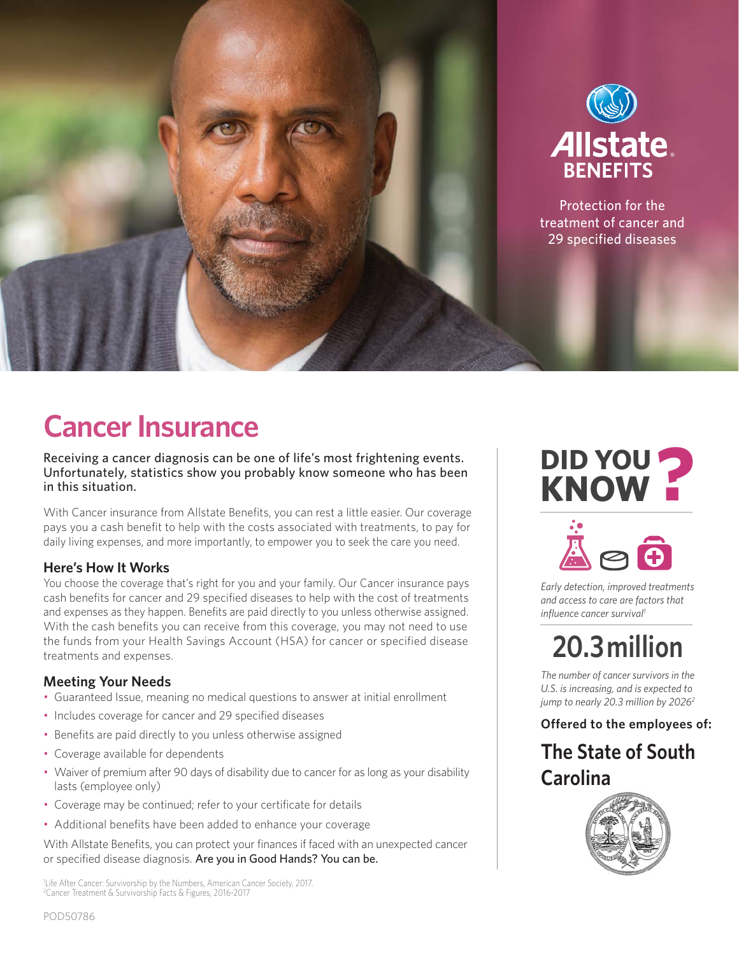

### **Cancer Insurance**

Receiving a cancer diagnosis can be one of life's most frightening events. Unfortunately, statistics show you probably know someone who has been in this situation.

With Cancer insurance from Allstate Benefits, you can rest a little easier. Our coverage pays you a cash benefit to help with the costs associated with treatments, to pay for daily living expenses, and more importantly, to empower you to seek the care you need.

#### **Here's How It Works**

You choose the coverage that's right for you and your family. Our Cancer insurance pays cash benefits for cancer and 29 specified diseases to help with the cost of treatments and expenses as they happen. Benefits are paid directly to you unless otherwise assigned. With the cash benefits you can receive from this coverage, you may not need to use the funds from your Health Savings Account (HSA) for cancer or specified disease treatments and expenses.

#### **Meeting Your Needs**

- Guaranteed Issue, meaning no medical questions to answer at initial enrollment
- Includes coverage for cancer and 29 specified diseases
- Benefits are paid directly to you unless otherwise assigned
- Coverage available for dependents
- Waiver of premium after 90 days of disability due to cancer for as long as your disability lasts (employee only)
- Coverage may be continued; refer to your certificate for details
- Additional benefits have been added to enhance your coverage

With Allstate Benefits, you can protect your finances if faced with an unexpected cancer or specified disease diagnosis. Are you in Good Hands? You can be.

1 Life After Cancer: Survivorship by the Numbers, American Cancer Society, 2017. 2 Cancer Treatment & Survivorship Facts & Figures, 2016-2017

# **DID YOU KNOW ?**



*Early detection, improved treatments and access to care are factors that influence cancer survival1*

### **20.3 million**

*The number of cancer survivors in the U.S. is increasing, and is expected to jump to nearly 20.3 million by 20262*

#### **Offered to the employees of:**

**The State of South Carolina**

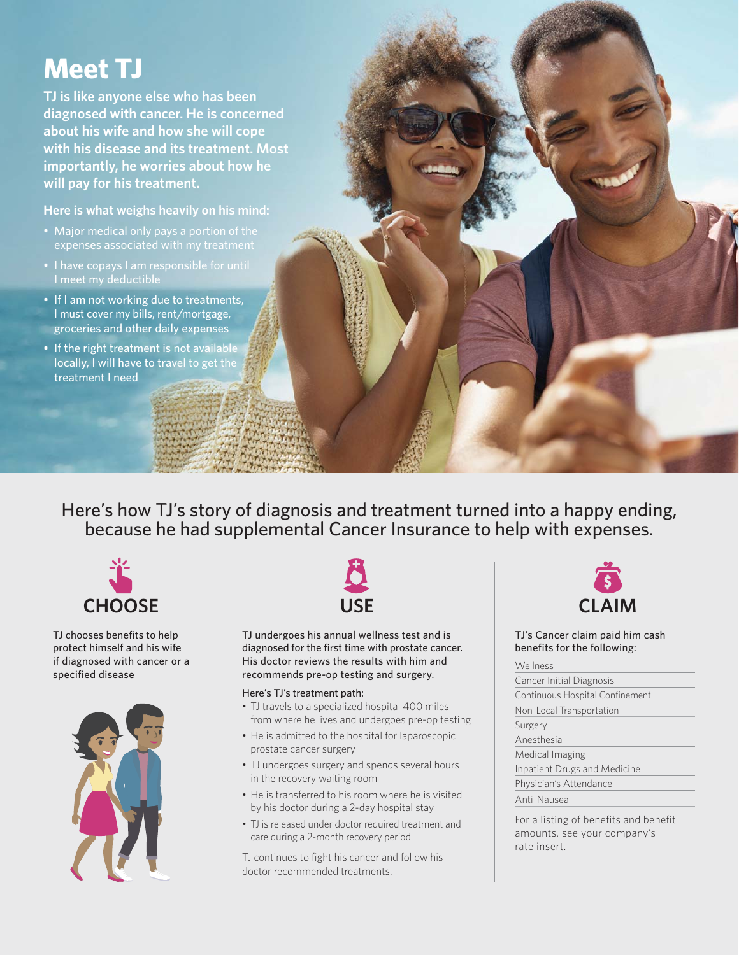### **Meet TJ**

**TJ is like anyone else who has been diagnosed with cancer. He is concerned about his wife and how she will cope with his disease and its treatment. Most importantly, he worries about how he will pay for his treatment.**

**Here is what weighs heavily on his mind:**

- Major medical only pays a portion of the expenses associated with my treatment
- I have copays I am responsible for until
- If I am not working due to treatments, I must cover my bills, rent/mortgage, groceries and other daily expenses
- If the right treatment is not available locally, I will have to travel to get the treatment I need

Here's how TJ's story of diagnosis and treatment turned into a happy ending, because he had supplemental Cancer Insurance to help with expenses.



TJ chooses benefits to help protect himself and his wife if diagnosed with cancer or a specified disease





TJ undergoes his annual wellness test and is diagnosed for the first time with prostate cancer. His doctor reviews the results with him and recommends pre-op testing and surgery.

#### Here's TJ's treatment path:

- TJ travels to a specialized hospital 400 miles from where he lives and undergoes pre-op testing
- He is admitted to the hospital for laparoscopic prostate cancer surgery
- TJ undergoes surgery and spends several hours in the recovery waiting room
- He is transferred to his room where he is visited by his doctor during a 2-day hospital stay
- TJ is released under doctor required treatment and care during a 2-month recovery period

TJ continues to fight his cancer and follow his doctor recommended treatments.



TJ's Cancer claim paid him cash benefits for the following:

#### Wellness

| Cancer Initial Diagnosis        |
|---------------------------------|
| Continuous Hospital Confinement |
| Non-Local Transportation        |
| Surgery                         |
| Anesthesia                      |
| Medical Imaging                 |
| Inpatient Drugs and Medicine    |
| Physician's Attendance          |
| Anti-Nausea                     |

For a listing of benefits and benefit amounts, see your company's rate insert.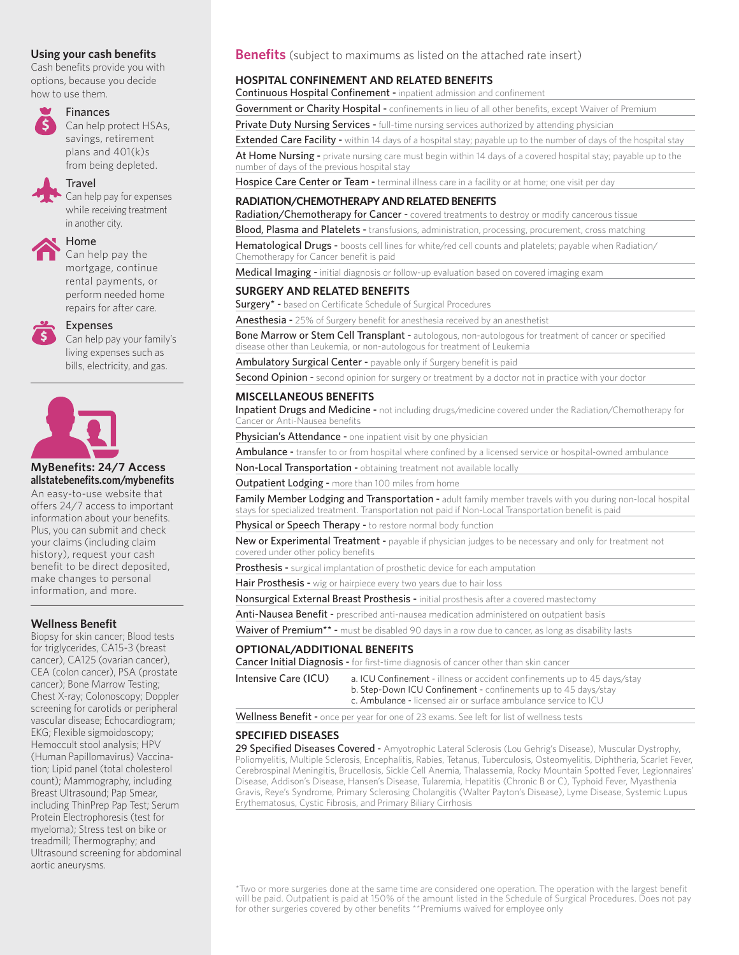Cash benefits provide you with options, because you decide how to use them.



#### Finances

 Can help protect HSAs, savings, retirement plans and 401(k)s from being depleted.

#### Travel

 Can help pay for expenses while receiving treatment in another city.



Home

 Can help pay the mortgage, continue rental payments, or perform needed home repairs for after care.



#### Expenses

Can help pay your family's living expenses such as bills, electricity, and gas.



#### **MyBenefits: 24/7 Access allstatebenefi ts.com/mybenefi ts**

An easy-to-use website that offers 24/7 access to important information about your benefits. Plus, you can submit and check your claims (including claim history), request your cash benefit to be direct deposited, make changes to personal information, and more.

#### **Wellness Benefit**

Biopsy for skin cancer; Blood tests for triglycerides, CA15-3 (breast cancer), CA125 (ovarian cancer), CEA (colon cancer), PSA (prostate cancer); Bone Marrow Testing; Chest X-ray; Colonoscopy; Doppler screening for carotids or peripheral vascular disease; Echocardiogram; EKG; Flexible sigmoidoscopy; Hemoccult stool analysis; HPV (Human Papillomavirus) Vaccination; Lipid panel (total cholesterol count); Mammography, including Breast Ultrasound; Pap Smear, including ThinPrep Pap Test; Serum Protein Electrophoresis (test for myeloma); Stress test on bike or treadmill; Thermography; and Ultrasound screening for abdominal aortic aneurysms.

#### **Using your cash benefits Benefits** (subject to maximums as listed on the attached rate insert)

#### **HOSPITAL CONFINEMENT AND RELATED BENEFITS**

#### Continuous Hospital Confinement - inpatient admission and confinement

Government or Charity Hospital - confinements in lieu of all other benefits, except Waiver of Premium

Private Duty Nursing Services - full-time nursing services authorized by attending physician

Extended Care Facility - within 14 days of a hospital stay; payable up to the number of days of the hospital stay

At Home Nursing - private nursing care must begin within 14 days of a covered hospital stay; payable up to the number of days of the previous hospital stay

Hospice Care Center or Team - terminal illness care in a facility or at home; one visit per day

#### **RADIATION/CHEMOTHERAPY AND RELATED BENEFITS**

Radiation/Chemotherapy for Cancer - covered treatments to destroy or modify cancerous tissue

**Blood, Plasma and Platelets -** transfusions, administration, processing, procurement, cross matching

Hematological Drugs - boosts cell lines for white/red cell counts and platelets; payable when Radiation/ Chemotherapy for Cancer benefit is paid

Medical Imaging - initial diagnosis or follow-up evaluation based on covered imaging exam

#### **SURGERY AND RELATED BENEFITS**

Surgery\* - based on Certificate Schedule of Surgical Procedures

Anesthesia - 25% of Surgery benefit for anesthesia received by an anesthetist

Bone Marrow or Stem Cell Transplant - autologous, non-autologous for treatment of cancer or specified disease other than Leukemia, or non-autologous for treatment of Leukemia

Ambulatory Surgical Center - payable only if Surgery benefit is paid

Second Opinion - second opinion for surgery or treatment by a doctor not in practice with your doctor

#### **MISCELLANEOUS BENEFITS**

Inpatient Drugs and Medicine - not including drugs/medicine covered under the Radiation/Chemotherapy for Cancer or Anti-Nausea benefits

Physician's Attendance - one inpatient visit by one physician

Ambulance - transfer to or from hospital where confined by a licensed service or hospital-owned ambulance

Non-Local Transportation - obtaining treatment not available locally

Outpatient Lodging - more than 100 miles from home

Family Member Lodging and Transportation - adult family member travels with you during non-local hospital stays for specialized treatment. Transportation not paid if Non-Local Transportation benefit is paid

Physical or Speech Therapy - to restore normal body function

New or Experimental Treatment - payable if physician judges to be necessary and only for treatment not covered under other policy benefits

Prosthesis - surgical implantation of prosthetic device for each amputation

Hair Prosthesis - wig or hairpiece every two years due to hair loss

Nonsurgical External Breast Prosthesis - initial prosthesis after a covered mastectomy

Anti-Nausea Benefit - prescribed anti-nausea medication administered on outpatient basis

Waiver of Premium\*\* - must be disabled 90 days in a row due to cancer, as long as disability lasts

#### **OPTIONAL/ADDITIONAL BENEFITS**

Cancer Initial Diagnosis - for first-time diagnosis of cancer other than skin cancer

Intensive Care (ICU) a. ICU Confinement - illness or accident confinements up to 45 days/stay b. Step-Down ICU Confinement - confinements up to 45 days/stay c. Ambulance - licensed air or surface ambulance service to ICU

Wellness Benefit - once per year for one of 23 exams. See left for list of wellness tests

#### **SPECIFIED DISEASES**

29 Specified Diseases Covered - Amyotrophic Lateral Sclerosis (Lou Gehrig's Disease), Muscular Dystrophy, Poliomyelitis, Multiple Sclerosis, Encephalitis, Rabies, Tetanus, Tuberculosis, Osteomyelitis, Diphtheria, Scarlet Fever, Cerebrospinal Meningitis, Brucellosis, Sickle Cell Anemia, Thalassemia, Rocky Mountain Spotted Fever, Legionnaires' Disease, Addison's Disease, Hansen's Disease, Tularemia, Hepatitis (Chronic B or C), Typhoid Fever, Myasthenia Gravis, Reye's Syndrome, Primary Sclerosing Cholangitis (Walter Payton's Disease), Lyme Disease, Systemic Lupus Erythematosus, Cystic Fibrosis, and Primary Biliary Cirrhosis

\*Two or more surgeries done at the same time are considered one operation. The operation with the largest benefit will be paid. Outpatient is paid at 150% of the amount listed in the Schedule of Surgical Procedures. Does not pay for other surgeries covered by other benefits \*\*Premiums waived for employee only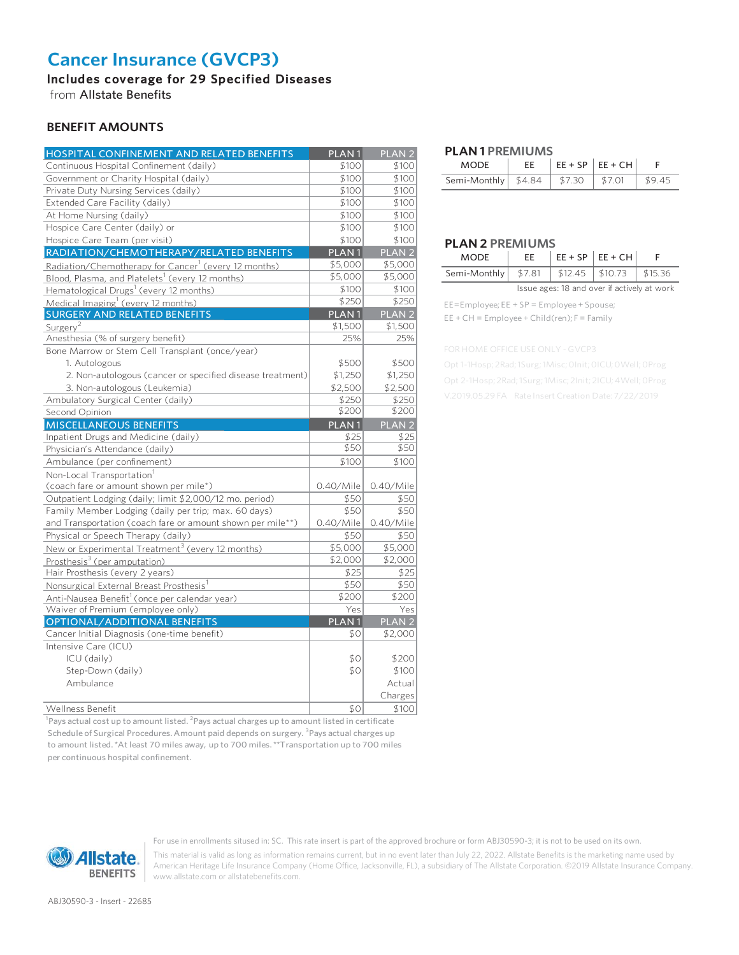### **Cancer Insurance (GVCP3)**

Includes coverage for 29 Specified Diseases

from Allstate Benefits

#### **BENEFIT AMOUNTS**

| HOSPITAL CONFINEMENT AND RELATED BENEFITS                        | PLAN <sub>1</sub> | PLAN <sub>2</sub> |
|------------------------------------------------------------------|-------------------|-------------------|
| Continuous Hospital Confinement (daily)                          | \$100             | \$100             |
| Government or Charity Hospital (daily)                           | \$100             | \$100             |
| Private Duty Nursing Services (daily)                            | \$100             | \$100             |
| Extended Care Facility (daily)                                   | \$100             | \$100             |
| At Home Nursing (daily)                                          | \$100             | \$100             |
| Hospice Care Center (daily) or                                   | \$100             | \$100             |
| Hospice Care Team (per visit)                                    | \$100             | \$100             |
| RADIATION/CHEMOTHERAPY/RELATED BENEFITS                          | PLAN <sub>1</sub> | PLAN <sub>2</sub> |
| Radiation/Chemotherapy for Cancer <sup>1</sup> (every 12 months) | \$5,000           | \$5,000           |
| Blood, Plasma, and Platelets <sup>1</sup> (every 12 months)      | \$5,000           | \$5,000           |
| Hematological Drugs <sup>1</sup> (every 12 months)               | \$100             | \$100             |
| Medical Imaging <sup>1</sup> (every 12 months)                   | \$250             | \$250             |
| <b>SURGERY AND RELATED BENEFITS</b>                              | PLAN <sub>1</sub> | PLAN <sub>2</sub> |
| Surgery <sup>2</sup>                                             | \$1,500           | \$1,500           |
| Anesthesia (% of surgery benefit)                                | 25%               | 25%               |
| Bone Marrow or Stem Cell Transplant (once/year)                  |                   |                   |
| 1. Autologous                                                    | \$500             | \$500             |
| 2. Non-autologous (cancer or specified disease treatment)        | \$1,250           | \$1,250           |
| 3. Non-autologous (Leukemia)                                     | \$2,500           | \$2,500           |
| Ambulatory Surgical Center (daily)                               | \$250             | \$250             |
| Second Opinion                                                   | \$200             | \$200             |
| <b>MISCELLANEOUS BENEFITS</b>                                    | PLAN <sub>1</sub> | PLAN <sub>2</sub> |
| Inpatient Drugs and Medicine (daily)                             | \$25              | \$25              |
| Physician's Attendance (daily)                                   | \$50              | \$50              |
| Ambulance (per confinement)                                      | \$100             | \$100             |
| Non-Local Transportation <sup>1</sup>                            |                   |                   |
| (coach fare or amount shown per mile*)                           | 0.40/Mile         | $0.40$ /Mile      |
| Outpatient Lodging (daily; limit \$2,000/12 mo. period)          | \$50              | \$50              |
| Family Member Lodging (daily per trip; max. 60 days)             | \$50              | \$50              |
| and Transportation (coach fare or amount shown per mile**)       | 0.40/Mile         | 0.40/Mile         |
| Physical or Speech Therapy (daily)                               | \$50              | \$50              |
| New or Experimental Treatment <sup>3</sup> (every 12 months)     | \$5,000           | \$5,000           |
| Prosthesis <sup>3</sup> (per amputation)                         | \$2,000           | \$2,000           |
| Hair Prosthesis (every 2 years)                                  | \$25              | \$25              |
| Nonsurgical External Breast Prosthesis <sup>1</sup>              | \$50              | \$50              |
| Anti-Nausea Benefit <sup>1</sup> (once per calendar year)        | \$200             | \$200             |
| Waiver of Premium (employee only)                                | Yes               | Yes               |
| OPTIONAL/ADDITIONAL BENEFITS                                     | PLAN <sub>1</sub> | PLAN <sub>2</sub> |
| Cancer Initial Diagnosis (one-time benefit)                      | \$0               | \$2,000           |
| Intensive Care (ICU)                                             |                   |                   |
| ICU (daily)                                                      | \$0               | \$200             |
| Step-Down (daily)                                                | \$0               | \$100             |
| Ambulance                                                        |                   | Actual            |
|                                                                  |                   | Charges           |
| <b>Wellness Benefit</b>                                          | \$0               | \$100             |

 $^1$ Pays actual cost up to amount listed.  $^2$ Pays actual charges up to amount listed in certificate Schedule of Surgical Procedures. Amount paid depends on surgery. <sup>3</sup>Pays actual charges up to amount listed. \*At least 70 miles away, up to 700 miles. \*\*Transportation up to 700 miles per continuous hospital confinement.

#### **W** Allstate. **BENEFITS**

For use in enrollments sitused in: SC. This rate insert is part of the approved brochure or form ABJ30590-3; it is not to be used on its own.

This material is valid as long as information remains current, but in no event later than July 22, 2022. Allstate Benefits is the marketing name used by American Heritage Life Insurance Company (Home Office, Jacksonville, FL), a subsidiary of The Allstate Corporation. ©2019 Allstate Insurance Company. www.allstate.com or allstatebenefits.com.

#### **PLAN 1 PREMIUMS**

| <b>MODE</b>                             | EE. | $\left  \text{EE} + \text{SP} \right  \text{EE} + \text{CH}$ |        |
|-----------------------------------------|-----|--------------------------------------------------------------|--------|
| Semi-Monthly   \$4.84   \$7.30   \$7.01 |     |                                                              | \$9.45 |

#### **PLAN 2 PREMIUMS**

| <b>MODE</b>                                         |  | $ EE + SP EE + CH $ |  |
|-----------------------------------------------------|--|---------------------|--|
| Semi-Monthly   \$7.81   \$12.45   \$10.73   \$15.36 |  |                     |  |
|                                                     |  |                     |  |

Issue ages: 18 and over if actively at work

EE=Employee; EE + SP = Employee + Spouse; EE + CH = Employee + Child(ren); F = Family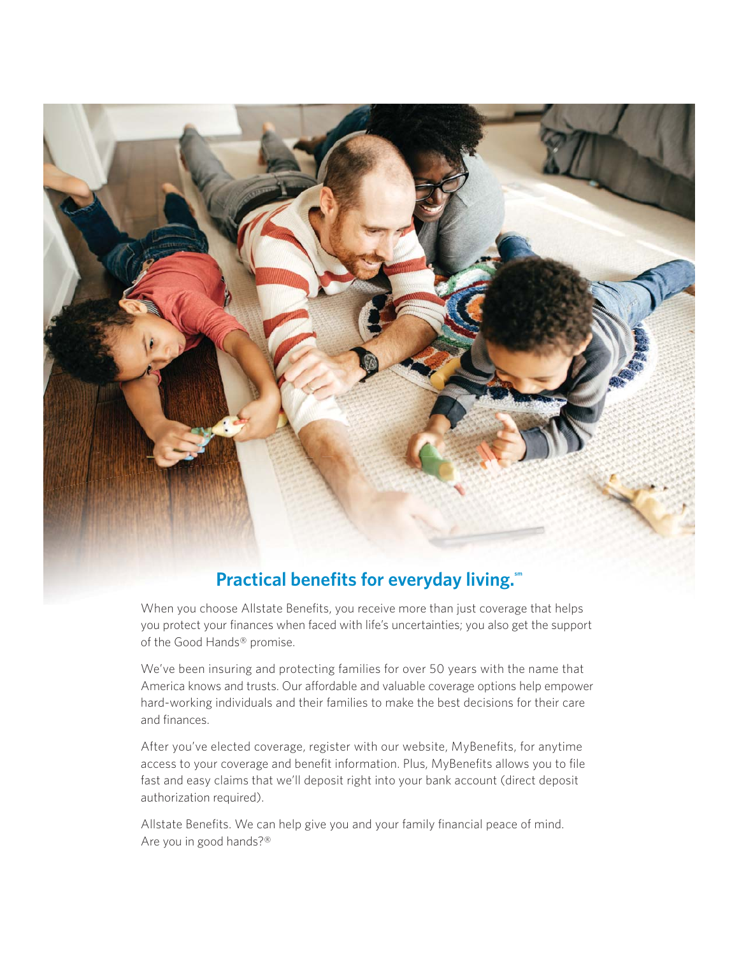

## When you choose Allstate Benefits, you receive more than just coverage that helps

you protect your finances when faced with life's uncertainties; you also get the support of the Good Hands® promise.

We've been insuring and protecting families for over 50 years with the name that America knows and trusts. Our affordable and valuable coverage options help empower hard-working individuals and their families to make the best decisions for their care and finances.

After you've elected coverage, register with our website, MyBenefits, for anytime access to your coverage and benefit information. Plus, MyBenefits allows you to file fast and easy claims that we'll deposit right into your bank account (direct deposit authorization required).

Allstate Benefits. We can help give you and your family financial peace of mind. Are you in good hands?®